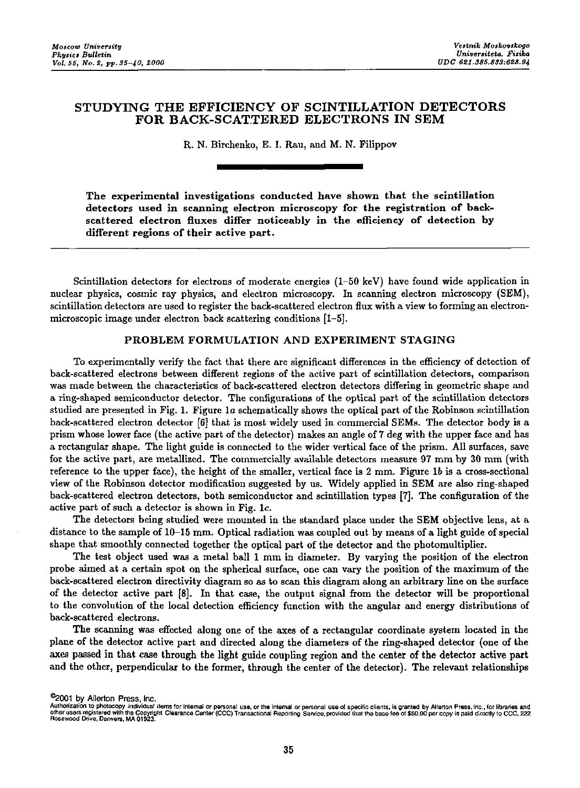# STUDYING THE EFFICIENCY OF SCINTILLATION DETECTORS FOR BACK-SCATTERED ELECTRONS IN SEM

R. N. Birchenko, E. I. Rau, and M. N. Filippov

The experimental investigations conducted have shown that the scintillation detectors used in scanning electron microscopy for the registration of back. scattered electron fluxes differ noticeably in the efficiency of detection by different regions of their active part.

Scintillation detectors for electrons of moderate energies (1-50 keV) have found wide application in nuclear physics, cosmic ray physics, and electron microscopy. In scanning electron microscopy (SEM), scintillation detectors are used to register the back-scattered electron flux with a view to forming an electronmicroscopic image under electron back scattering conditions [1-5].

### PROBLEM FORMULATION AND EXPERIMENT STAGING

To experimentally verify the fact that there are significant differences in the efficiency of detection of back-scattered electrons between different regions of the active part of scintillation detectors, comparison was made between the characteristics of back-scattered electron detectors differing in geometric shape and a ring-shaped semiconductor detector. The configurations of the optical part of the scintillation detectors studied are presented in Fig. 1. Figure la schematically shows the optical part of the Robinson scintillation back-scattered electron detector (6] that is most widely used in commercial SEMs. The detector body is a prism whose lower face (the active part of the detector) makes an angle of 7 deg with the upper face and has a rectangular shape. The light guide is connected to the wider vertical face of the prism. All surfaces, save for the active part, are metallized. The commercially available detectors measure 97 mm by 30 mm (with reference to the upper face), the height of the smaller, vertical face is 2 mm. Figure lb is a cross-sectional view of the Robinson detector modification suggested by us. Widely applied in SEM are also ring-shaped back-scattered electron detectors, both semiconductor and scintillation types [7]. The configuration of the active part of such a detector is shown in Fig. le.

The detectors being studied were mounted in the standard place under the SEM objective lens, at a distance to the sample of 10-15 mm. Optical radiation was coupled out by means of a light guide of special shape that smoothly connected together the optical part of the detector and the photomultiplier.

The test object used was a metal ball 1 mm in diameter. By varying the position of the electron probe aimed at a certain spot on the spherical surface, one can vary the position of the maximum of the back-scattered electron directivity diagram so as to scan this diagram along an arbitrary line on the surface of the detector active part [8]. In that case, the output signal from the detector will be proportional to the convolution of the local detection efficiency function with the angular and energy distributions of back-scattered electrons.

The scanning was effected along one of the axes of a rectangular coordinate system located in the plane of the detector active part and directed along the diameters of the ring-shaped detector (one of the axes passed in that case through the light guide coupling region and the center of the detector active part and the other, perpendicular to the former, through the center of the detector). The relevant relationships

<sup>©2001</sup> by Allerton Press, Inc.<br>Authorization to photocopy individual items for internal or personal use, or the intemal or personal use of specific clients, is granted by Allerton Press, Inc., for libraries and other users registered with the Copyright Clearance Center (CCC) Transactional Reporting Service, provided that the base fee of \$50.00 per copy is paid directly to CCC, 222<br>Rosewood Drive, Danvers, MA 01923.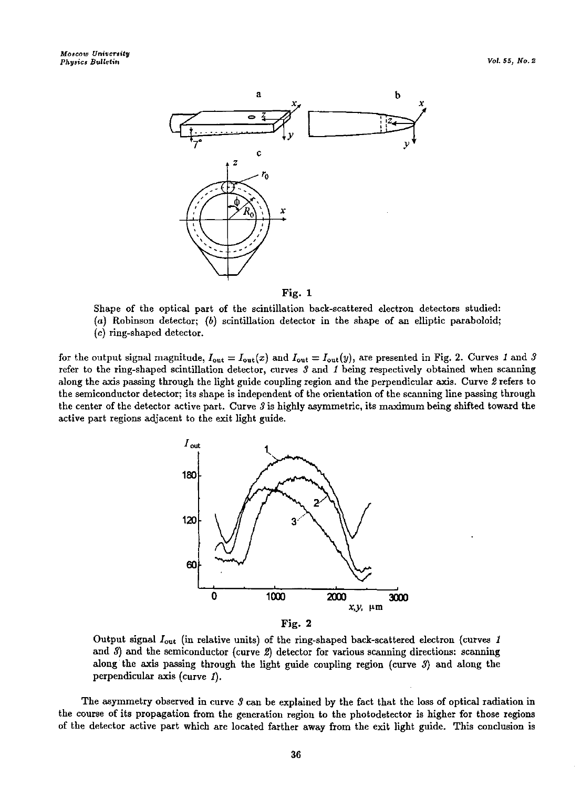



Shape of the optical part of the scintillation back-scattered electron detectors studied: (a) Robinson detector; (b) scintillation detector in the shape of an elliptic paraboloid;

(c) ring-shaped detector.

for the output signal magnitude,  $I_{\text{out}} = I_{\text{out}}(x)$  and  $I_{\text{out}} = I_{\text{out}}(y)$ , are presented in Fig. 2. Curves *1* and *3* **refer to the ring-shaped scintillation detector, curves** *3* **and** *1* **being respectively obtained when scanning**  along the axis passing through the light guide coupling region and the perpendicular axis. Curve *2* refers to the semiconductor detector; its shape is independent of the orientation of the scanning line passing through the center of the detector active part. Curve *3* is highly asymmetric, its maximum being shifted toward the active part regions adjacent to the exit light guide.



**Fig. 2** 

Output signal  $I_{\text{out}}$  (in relative units) of the ring-shaped back-scattered electron (curves 1 and  $3$ ) and the semiconductor (curve  $2$ ) detector for various scanning directions: scanning along the axis passing through the light guide coupling region (curve 3) and along the perpendicular axis (curve 1).

The asymmetry observed in curve *3* can be explained by the fact that the loss of optical radiation in the course of its propagation from the generation region to the photodetector is higher for those regions of the detector active part which are located farther away from the exit light guide. This conclusion is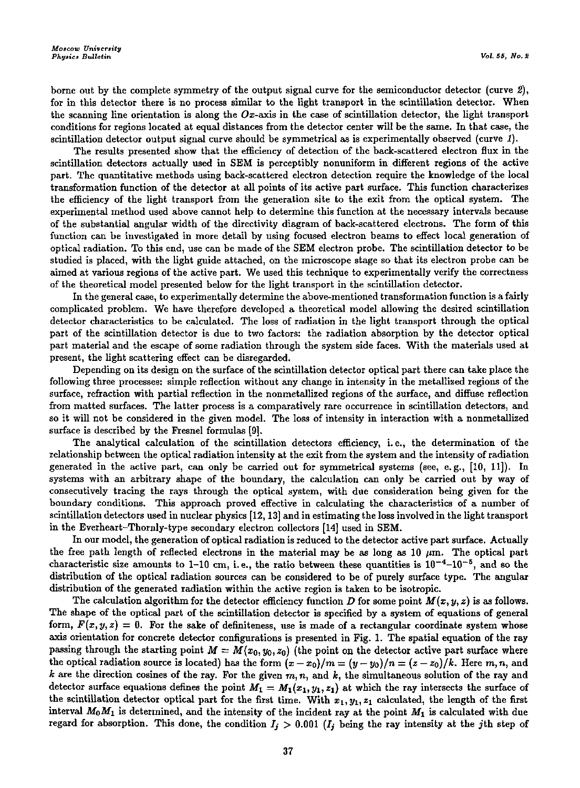borne out by the complete symmetry of the output signal curve for the semiconductor detector (curve 2), for in this detector there is no process similar to the light transport in the scintillation detector. When the scanning line orientation is along the  $Ox$ -axis in the case of scintillation detector, the light transport conditions for regions located at equal distances from the detector center will be the same. In that case, the scintillation detector output signal curve should be symmetrical as is experimentally observed (curve 1).

The results presented show that the efficiency of detection of the back-scattered electron flux in the scintillation detectors actually used in SEM is perceptibly nonuniform in different regions of the active part. The quantitative methods using back-scattered electron detection require the knowledge of the local transformation function of the detector at all points of its active part surface. This function characterizes the efficiency of the light transport from the generation site to the exit from the optical system. The experimental method used above cannot help to determine this function at the necessary intervals because of the substantial angular width of the directivity diagram of back-scattered electrons. The form of this **function can be investigated in more detail by using focused electron beams to effect local generation of**  optical radiation. To this end, use can be made of the SEM electron probe. The scintillation detector to be studied is placed, with the light guide attached, on the microscope stage so that its electron probe can be **aimed at various regions of the active part. We used this technique to experimentally verify the correctness**  of the theoretical model presented below for the light transport in the scintillation detector.

**In the general case, to experimentally determine the above-mentioned transformation function is a fairly**  complicated problem. We have therefore developed a theoretical model allowing the desired scintillation detector characteristics to be calculated. The loss of radiation in the light transport through the optical part of the scintillation detector is due to two factors: the radiation absorption by the detector optical part material and the escape of some radiation through the system side faces. With the materials used at present, the light scattering effect can be disregarded.

Depending on its design on the surface of the scintillation detector optical part there can take place the **following three processes: simple reflection without any change in intensity in the metallized regions of the**  surface, refraction with partial reflection in the nonmetallized regions of the surface, and diffuse reflection **from matted surfaces. The latter process is a comparatively rare occurrence in scintillation detectors, and**  so it will not be considered in the given model. The loss of intensity in interaction with a nonmetallized surface is described by the Fresnel formulas [9].

The analytical calculation of the scintillation detectors efficiency, i.e., the determination of the relationship between the optical radiation intensity at the exit from the system and the intensity ofradiation generated in the active part, can only be carried out for symmetrical systems (see, e.g., [10, 11]). In systems with an arbitrary shape of the boundary, the calculation can only be carried out by way of consecutively tracing the rays through the optical system, with due consideration being given for the boundary conditions. This approach proved effective in calculating the characteristics of a number of scintillation detectors used in nuclear physics [12, 13] and in estimating the loss involved in the light transport in the Everheart-Thornly-type secondary electron collectors [14] used in SEM.

In our model, the generation of optical radiation is reduced to the detector active part surface. Actually the free path length of reflected electrons in the material may be as long as  $10 \mu m$ . The optical part characteristic size amounts to  $1-10$  cm, i.e., the ratio between these quantities is  $10^{-4}-10^{-5}$ , and so the distribution of the optical radiation sources can be considered to be of purely surface type. The angular distribution of the generated radiation within the active region is taken to be isotropic.

The calculation algorithm for the detector efficiency function *D* for some point  $M(x, y, z)$  is as follows. The shape of the optical part of the scintillation detector is specified by a system of equations of general form,  $F(x, y, z) = 0$ . For the sake of definiteness, use is made of a rectangular coordinate system whose axis orientation for concrete detector configurations is presented in Fig. 1. The spatial equation of the ray passing through the starting point  $M = M(x_0, y_0, z_0)$  (the point on the detector active part surface where the optical radiation source is located) has the form  $(x-x_0)/m = (y-y_0)/n = (z-z_0)/k$ . Here  $m, n$ , and k are the direction cosines of the ray. For the given  $m, n$ , and  $k$ , the simultaneous solution of the ray and detector surface equations defines the point  $M_1 = M_1(x_1, y_1, z_1)$  at which the ray intersects the surface of the scintillation detector optical part for the first time. With  $x_1, y_1, z_1$  calculated, the length of the first interval  $M_0M_1$  is determined, and the intensity of the incident ray at the point  $M_1$  is calculated with due regard for absorption. This done, the condition  $I_j > 0.001$  ( $I_j$  being the ray intensity at the jth step of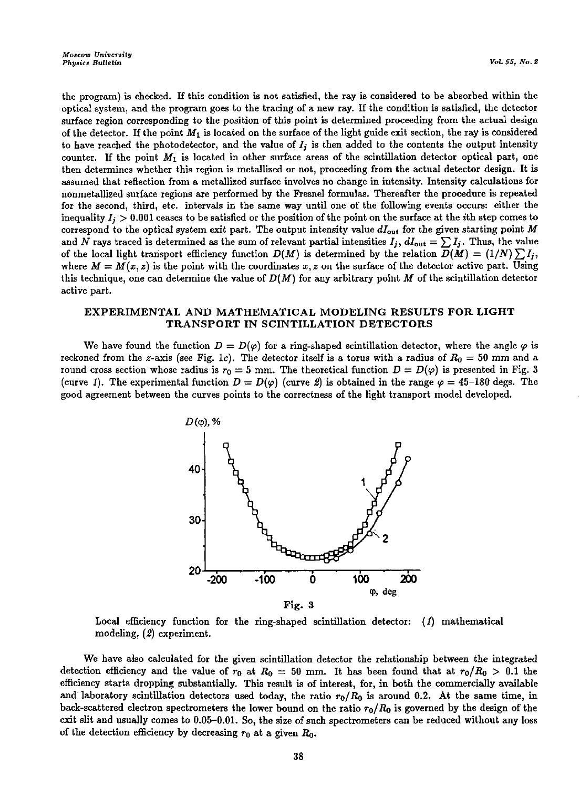the program) is checked. If this condition is not satisfied, the ray is considered to be absorbed within the optical system, and the program goes to the tracing of a new ray. If the condition is satisfied, the detector **surface region corresponding to the position of this point is determined proceeding from the actual design**  of the detector. If the point  $M_1$  is located on the surface of the light guide exit section, the ray is considered to have reached the photodetector, and the value of *I;* is then added to the contents the output intensity counter. If the point  $M_1$  is located in other surface areas of the scintillation detector optical part, one **then determines whether this region is metallized or not, proceeding from the actual detector design. It is**  assumed that reflection from a metallized surface involves no change in intensity. Intensity calculations for nonmetallized surface regions are performed hy the Fresnel formulas. Thereafter the procedure is repeated **for the second, third, etc. intervals in the same way until one of the following events occurs: either the**  inequality  $I_j > 0.001$  ceases to be satisfied or the position of the point on the surface at the *i*th step comes to correspond to the optical system exit part. The output intensity value *dlout* for the given starting point *M*  and *N* rays traced is determined as the sum of relevant partial intensities  $I_i$ ,  $dI_{out} = \sum I_i$ . Thus, the value of the local light transport efficiency function  $D(M)$  is determined by the relation  $D(M) = (1/N) \sum I_i$ , where  $M = M(x, z)$  is the point with the coordinates x, z on the surface of the detector active part. Using this technique, one can determine the value of  $D(M)$  for any arbitrary point  $M$  of the scintillation detector **active part.** 

## EXPERIMENTAL AND MATHEMATICAL MODELING RESULTS FOR LIGHT TRANSPORT IN SCINTILLATION DETECTORS

We have found the function  $D = D(\varphi)$  for a ring-shaped scintillation detector, where the angle  $\varphi$  is reckoned from the *z*-axis (see Fig. 1c). The detector itself is a torus with a radius of  $R_0 = 50$  mm and a round cross section whose radius is  $r_0 = 5$  mm. The theoretical function  $D = D(\varphi)$  is presented in Fig. 3 (curve 1). The experimental function  $D = D(\varphi)$  (curve 2) is obtained in the range  $\varphi = 45{\text -}180$  degs. The good agreement between the curves points to the correctness of the light transport model developed.



Local efficiency function for the ring-shaped scintillation detector:  $(1)$  mathematical modeling, (£) experiment.

We have also calculated for the given scintillation detector the relationship between the integrated detection efficiency and the value of  $r_0$  at  $R_0 = 50$  mm. It has been found that at  $r_0/R_0 > 0.1$  the efficiency starts dropping substantially. This result is of interest, for, in both the commercially available and laboratory scintillation detectors used today, the ratio  $r_0/R_0$  is around 0.2. At the same time, in back-scattered electron spectrometers the lower bound on the ratio  $r_0 / R_0$  is governed by the design of the exit slit and usually comes to 0.05-0.01. So, the size of such spectrometers can be reduced without any loss of the detection efficiency by decreasing  $r_0$  at a given  $R_0$ .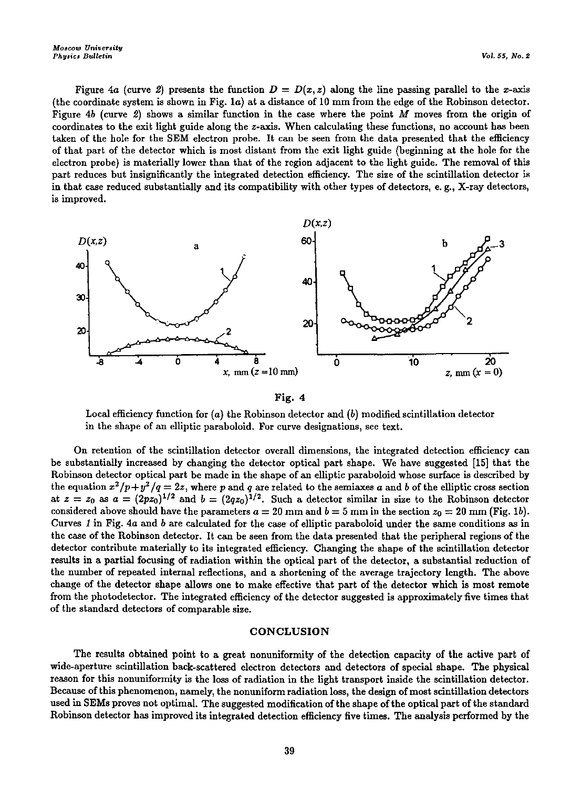*Moscow University*<br>*Physics Bulletin Physics Bulletin* Vol. 55, No. 2

Figure 4a (curve 2) presents the function  $D = D(x, z)$  along the line passing parallel to the x-axis (the coordinate system is shown in Fig.  $1a$ ) at a distance of 10 mm from the edge of the Robinson detector. Fignre *4b* (curve *2)* shows a similar function in the case where the point *M* moves from the origin of coordinates to the exit light guide along the z-axis. When calculating these functions, no account has been taken of the hole for the SEM electron probe. It can be seen from the data presented that the efficiency of that part of the detector which is most distant from the exit light guide (beginning at the hole for the electron probe) is materially lower than that of the region adjacent to the light guide. The removal of this part reduces but insignificantly the integrated detection efficiency. The size of the scintillation detector is in that case reduced substantially and its compatibility with other types of detectors, e.g., X-ray detectors, **is improved.** 





Local efficiency function for  $(a)$  the Robinson detector and  $(b)$  modified scintillation detector **in the shape of an elliptic paraboloid. For curve designations, see text.** 

**On retention of the scintillation detector overall dimensions, the integrated detection efficiency can**  be substantially increased by changing the detector optical part shape. We have suggested [15] that the Robinson detector optical part be made in the shape of an elliptic paraboloid whose surface is described by the equation  $x^2/p + y^2/q = 2z$ , where p and q are related to the semiaxes a and b of the elliptic cross section at  $z = z_0$  as  $a = (2pz_0)^{1/2}$  and  $b = (2qz_0)^{1/2}$ . Such a detector similar in size to the Robinson detector considered above should have the parameters  $a = 20$  mm and  $b = 5$  mm in the section  $z_0 = 20$  mm (Fig. 1b). Curves *1* in Fig. *4a* and *b* are calculated for the case of elliptic paraboloid under the same conditions as in the case of the Robinson detector. It can be seen from the data presented that the peripheral regions of the detector contribute materially to its integrated efficiency. Changing the shape of the scintillation detector results in a partial focusing of radiation within the optical part of the detector, a substantial reduction of the number of repeated internal reflections, and a shortening of the average trajectory length. The above change of the detector shape allows one to make effective that part of the detector which is most remote from the photodetector. The integrated efficiency of the detector suggested is approximately five times that of the standard detectors of comparable size.

### CONCLUSION

The results obtained point to a great nonuniformity of the detection capacity of the active part of wide-aperture scintillation back-scattered electron detectors and detectors of special shape. The physical reason for this nonuniformity is the loss of radiation in the light transport inside the scintillation detector. Because of this phenomenon, namely, the nonuniform radiation loss, the design of most scintillation detectors used in SEMs proves not optimal. The suggested modification of the shape of the optical part of the standard Robinson detector has improved its integrated detection efficiency five times. The analysis performed by the